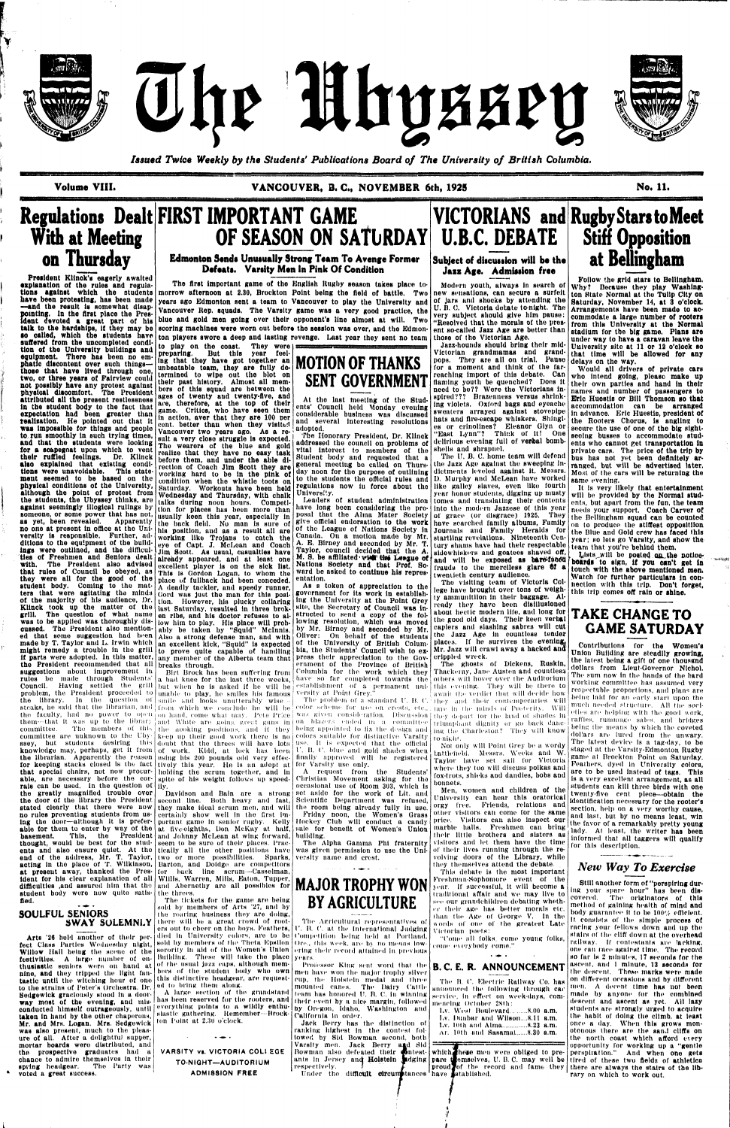

The Uhyssey



*Issued Twice Weekly by the Students' Publications Board of The University of British Columbia.* 

# **Regulations Dealt FIRST IMPORTANT GAME OF SEASON ON SATURDAY**

President Kllnok's oagerly awaited explanation of the rules and regulations against which the students have been protesting, has been made —and the result Is aomewhat disappointing. In the first place the President devoted a great part of his talk to the hardships, if they may be •o called, which the students have suffered from the uncompleted condition ot the University buildings and equipment. There has been no emphatic discontent over such things those that have lived through one, two, or three years of Fairview could not possibly have any protest against physical discomfort. The President, attributed all the present restlessness in the student body to the fact that expectation had been greater than realisation. He pointed out that it was impossible for things and people venture than when they visited. to run smoothly in such trying times, valicouver two years ago. As a reand that the students were looking  $\begin{bmatrix} \text{mult a very close struggle is expected,} \\ \text{mult a very close struggle is expected.} \end{bmatrix}$ for a scapegoat upon which to vent their ruffled feelings. Dr. Kllnck also explained that existing conditions were unavoidable. This statement seemed to be based on the physical conditions ot the University, although the point of protest from the students, the Ubyssey thinks, are against seemingly illogical rulings by someone, or some power that has not, as yet, been revealed. Apparently no one at present In office at the University is responsible. Further, additions to the equipment of the buildditions to the equipment of the build leve of Capt. J. McLean and Coach  $\frac{1}{2}$ ties of Freshmen and Seniors dealt us of Freshmen and Seniors urall already appeared, and at least one<br>with. The President also advised excellent player is on the side list. with. The President also advised<br>that rules of Council be obeyed, as that tules of Collieri to essyon, as study were an for the good of the student body. Coming to the mat-<br>tars that were agitating the minds of the majority of his audience, Dr. of the majority of his audience, Dr. tion. However, his plucky collaring<br>Klinck took up the matter of the last Saturdoy seculted in three brek grill. The question of what name en ribs, and his doctor refuses to alwas to be applied was thoroughly diswas to be applied was thoroughly dis-<br>enssed. The President also mentioncusseu. The ricentent also mention-<br>ad that some suggestion had been eu that schle suggeshon nad been<br>made by T. Taylor and L. Irwin which miaus by 1, 163101 and 17. It will which<br>might remedy a trouble in the grill If parts were adopted. In the still<br>If parts were adopted. In this matter, it parts were auopted. In this matter,<br>the President recommended that all the rresident recommended that an<br>enggestions about Improvement In **suggestions anout improvement in**<br>milos he made through Students' ruies de maue through Students<br>Council, Having settled the grill problem, the President proceeded to problem, the President proceeded to unable to play, he smiles his famous versity at Point Grey."<br>the History and December of which and take waits who was the wooden of a ste  $\frac{1}{100}$  is the steaks, he said that the librarian, and  $\frac{1}{100}$  smile and  $\frac{1}{100}$  which we conclude he will be steaks, he said that the norarian, and from which we concidde he will be coor scheme for use on crests, etc., are in the nunds of Posterity. Will<br>the faculty, had no power to open on hand, come what may. Pete Price was giv the faculty, had no power to open<br>tham that it was up to the library them—that it was up to the library and White are going great guns in on blazers ended in a committee triumphant dignity or go back danc-<br>committee . The mombers of this the surface real is then helpe annointed to ga the de committee. The members of this<br>committee are unknown to the Ubycommittee are unknown to the Uby- keep up their good work there is no colors suitable for distinctive Varsity to-night. ssey, but students desiring this doubt that the threes will have lots use. It is expected that the official knowledge may, pernaps, get it from [of | work. | Kidd, | at |lock|| has | heen<br>the librarian. | Apparently the reason | using his 200 pounds odd very effecthe Horarian. Apparently the reason<br>for keeping stecks closed is the fact for keeping stacks closed is the fact tively this year. He is an adept at for Varsity use only. that special chairs, not now procur- holding the scrum together, and in able, are necessary before the corrals can be used. In the question of rals can be used. In the question of<br>the greatly magnified trouble over the greatly magnined trouble over<br>the last of the library the President the door of the library the President stated clearly that there were now no rules preventing students from using the door-although it is preferable for them to enter by way of the basement. This, the President basement. This, the President and Johnny McLean at wing forward, thought, would be best for the students and also ensure quiet. At the end of the address, Mr. T. Taylor, end of the address, Mr. T. acting in the place of T. Wilkinson, at present away, thanked the President for his clear explanation of all difficulties ,and assured him that the student body were now quite satis-<br>fied. preparing. But this year feel-<br>the that they bess got teacher are ing that they have got together an their past history. Almost all members of this squad are between the ages of twenty and twenty-five, and  $|$ are, therefore, at the top of their game. Critics, who have seen them in action, aver that they are 100 per cent. better than when they visited Vancouver two years ago. As a re-The wearers of the blue and gold realize that they have no easy task before them, and under the able direction of Coach Jim Scott they are<br>working hard to be in the pink of condition when the whistle toots on Saturday. Workouts have been held Wednesday and Thursday, with chalk talks during noon hours. Competithen for places has been more than usually keen this year, especially in the back field. No man is sure of his position, and as a result all are working like Trojans to catch the eye of Capt. J. McLean and Coach Jim Scott. As usual, casualties have excellent player is on the sick list.<br>This is Gordon Logan, to whom the This is Gordon Logan, to whom the place of fullback had been conceded. A deadly tackler, and speedy runner, Gord was just the man for this posilast Saturday, resulted in three broklow him to play. His place will probably be taken by "Squid" McInnis. Also a strong defense man, and with an excellent kick, "Squid" is expected to prove quite a bad knee for the last three weeks, knowledge may, perhaps, get it from of work. Kidd, at lock has been

**Volume VIII. VANCOUVER,** 3. C, **NOVEMBER** 6th, **1925 No. 11.** 

**With at Meeting on Thursday** 

#### SOULFUL SENIORS SWAY SOLEMNLY

question  $\sigma$  smile and looks unutterably wise spite of his weight follows up speedily.

en ribs, and his doctor refuses to al-

second line. Both heavy and fast, they make Ideal scrum men, and will the room being already fully in use. certainly show well In the first Important game In senior rugby. Kelly at five-eighths, Don McKay at half, seem to be sure of their places. Practically all the other positions have two or more possibilities. Sparks, Barton, and Doidge are competitors for back line scrum—Casselman, Willis, Warren, Mills, Eaton, Tupper, and Abernethy are all possibles for **MAJUK IKOPHY WON** the threes.

Arts '26 hold another of their perfect Class Parties Wednesday night, Willow Mall being the scene of the festivities. A large number of enthusiastic seniors were on hand at nine, and they tripped the light fantastic until the witching hour of one to the strains of Peter's orchestra, Dr. Sedgewick graciously stood in a doorway most of the evening, and misway heat of the evening, and mill everything points to a wildly enthu- by Oregon, Idaho, Washington and taken In hand by the other chaperons, Mr. and Mrs. Logan. Mrs. Sedgewick was also present, much to the pleasure of all. After a delightful supper, mortar boards were distributed, and the prospective graduates had a chance to admire themselvos In their spring headgear. The Party was voted a great success.

A large section of the grandstand siastic gathering. Remember-Brockton Point at 2.30 o'clock,

 $\sim$   $\sim$   $\sim$ 

### **Edmonton Sands Unusually Strong Team To Avenge Former Defeats. Varsity Men In Pink Of Condition**

The first important game of the English Rugby season takes place tomorrow afternoon at 2.30, Brockton Point being the Held of battle. Two years ago Edmonton sent a team to Vancouver to play the University and Vancouver Rep. squads. The Varsity game was a very good practice, the vancouver Rep. squads. The varsity game was a very good practice, the blue and gold men going over their opponent's line almost at will. Two scoring machines were worn out before the session was over, and the Edmonton players swore a deep and lasting revenge. Last year they sent no team preparation of the second the second the second the second the second the second the second the second the second the second the second the second the second the second the second the second the second term in the second t to play on the coast. They were

> The Honorary President, Dr. Klinck addressed the council on problems of vital interest to members of the Student body and requested that a general meettug bo called on Thursday noon for the purpose of outlining to the students the official rules and regulations now iu force about the like galley slaves, even like fourth University.

but when **he is asked if** he will be <sup>establishment of a permanent uni- this evening. They will be there to</sup> As a token of appreciation to the government for its work in establishing the University at the Point Grey site, the Secretury of Council was instructed to send a copy of the following resolution, which was moved by Mr. Birney and seconded by Mr. Oliver: On behalf of the students<br>of the University of British Colum-<br>bia, the Students' Council wish to exof the University of British Columbia, the Students' Council wish to express their appreciation to the Government of the Province of British Columbia for the work which they have so far completed towards the

> U. B. C. blue and gold shades when finally approved will be registered

Davidson and Bain are a strong set aside for the work of Lit. and A request from the Students' Christian Movement asking for tho occasional use of Room 303, which Is Scientific Department was refused, Friday noon, the Women's Grass Hockey Club will conduct a candysale for benefit ot Women's Union building.

ers out to cheer on the boys. Feathers, U. B. C. at the International Judging died In University colors, are to ho Competition being held al Portland, sold hy members of the Theta Kpsilon Ore,, this week, ate bv no mentis lowsorority in aid of the Women's Union ering their record attained in previous The Agricultural representatives of

> Jack Horry has the distinction of ranking highest In the contest followed by Sid Bowman second, both Varsity men. Jack Berry a**n**d Sid Bowman also defeated their **C**ontestants in Jersey and Holstein Judging respectively. Under the difficult circumstances have stablished.

the acoking positions, and if they being appointed to fix the design and  $\lim_{h\to 0}$  the Charleston? They will know color scheme for use on crests, etc.,  $_{\rm{18 Te}}$  in the minds of Posterity. Will  $|$ 

Birt brock has been suffering from

termined to wipe out the blot on<br>their sant blots we thus at all more

working hard to be in the pink of



The ghosts of Dickens, Ruskin, Thackeray, Jane Austen and countless others will hover over the Auditorium await Hie verdict that will decide how

"Come nil folks, come young folks, come everybody <mark>come."</mark>

The B. C. Electric Railway Co. has announced Ihe following through car University site at 11 or 12 o'clock so that time will be allowed for any delays on the way. Would all drivers of private cars who intend going, please make up

their own parties and hand in their names and number of passengers to Eric Huestis or Bill Thomson so that accommodation can be arranged In advance. Eric Huestis, president of the Rooters Chorus, is angling to secure the use of one of the big sightseeing busses to accommodate students who cannot get transportation in private cars. The price of the trip by bus has not yet been definitely arranged, but will be advertised later. Most of the curs will be returning the same evening.

The tickets for the game are being sold by members of Arts '27, and by the roaring business they are doing, there will be a great crowd of root-Building. These will take the place  $|{\rm years}|$ of the usual juzz caps, although memed to bring them along.

It is very likely that entertainment will be provided by the Normal students, but apart from the fun, the team needs your support. Coach Carver of the Bellingham squad can be counted on to produce the stlffest opposition the Blue and Gold crew has faced this year; so lets go Varsity, and show the team that you're behind them,

VARSITY vs. VICTORIA COLl EGE **TO-NIGHT—AUDITORIUM ADMISSION FREE** 

The problem of a standard U. B. C. they and their contemporaries will

Lists will be posted on the noticeboards to sign, if you can't get in touch with the above mentioned men, Watch for further particulars In connection with this trip. Don't forget, this trip comes off rain or shine.

which these men were obliged to prepare *(*Memselves, U. B. C. may well be proud Jof the record and fame they

At the last meeting of the Students' Council held Monday evening considerable business was discussed and several Interesting resolutions adopted.

Leaders of student administration have long been considering the proposal that the Alma Mater Society of grace (or disgrace) 1925. They give official endorsatlon to the work have searched family albums, Family of the League of Nations Society in Journals and Family Heralds for Canada. On a motion made by Mr. A. E. Birney and seconded by Mr. T. Taylor, council decided that the A. M. S. be affiliated visit the League of Nations Society and that Prof. Soward be asked to continue his representation.

bers of the student body who own men have won the major trophy silver this distinctive headgear, are request- cup, the Holstein medal and three has been reserved for the rooters, and their event by a nice margin, followed mencing October 28th: Professor King sent word that Ihe mounted canes. The Dairy Cattle team has honored U. B. C. lu winning service, In effect on week-days, com-California In order.

The Alpha Gamma Phi fraternity was given permission to use the University name and crest.



# **Jasz** Age. **Admission free**

Modern youth, alwuys In search of new sensations, can secure a surfeit of jars and shucks by attending tho U. B. C. Victoria detato tonight. The very subject should give him pause: "Resolved that the morals of the present so-called Jazz Age are better than those of the Victorian Age.

Jazz-hounds should bring their mid-Victorian grandmamas and grandpops. They are all on trial. Pause for a moment and think of the farreaching import of this debate. Can flaming youth be quenched? Does It need to be?? Were the Victorians Inspired??? Brazenness versus shrinking violets. Oxford bags and eyeache sweaters arrayed against stovepipe hats and fire-escape whiskers. Shingles or crinolines? Eleanor Glyn or "East Lynn"? Think of it! One delirious evening full of verbal bombshells and shrapnel.

The U. B. C. home team will defend the Jazz Age against the sweeping Indictments leveled against it. Messrs. D, Murphy and McLean have worked year honor students, digging up musty tomes and translating their contents Into the modern Jazzese of this year startling revelations. Nineteenth Century shams have had their respectable sidowhiskers and goatees shaved off, and will be exposed as barelfaced frauds to the merciless glare 61 a twentieth century audience,

The visiting team or Victoria College have brought over tons of weighty ammunition in their baggage. Already they have been disillusioned about hectic modern life, and long for the good old days. Their keen verbal capiers and slashing sabres will cut the Jazz Age In countless tender places. If he survives the evening, Mr. Jazz will crawl away a hacked audi crippled wreck.

# **VICTORIANS and Rugby Stars to Meet U.B.C. DEBATE Subject of discussion** will **be the Stiff Opposition**

Not only will Point Grey be a wordy Lattlefield. Messrs. Weeks and W. Taylor have set sail for Victoria where they too will discuss polkas and fox-trots, shieks and dandles, bobs and bonnets.

Men, women and children of the University can hear this oratorical orgy free. Friends, relations and other visitors can come for the same price. Visitors can also Inspect our marble halls. Freshmen can bring their little brothers and sisters as visitors and let them have the time of their lives running through the revolving doors of the Library, while they themselves attend the debate.

This debate Is the most important Freshman-Sophomore event of the year. If successful, It will become a traditional affair and we may live to see our grandchildren debating whether their age has better morals etc. than Ihe Age of George V. In the words of one of the greatest Late Victorian poets:

# **B.** C. E. **R.** ANNOUNCEMENT

| Lv. West Boulevard8.00 a.m.    |  |
|--------------------------------|--|
| Lv. Dunbar and Wilson8.11 a.m. |  |
| Lv. 10th and Alma8.23 a.m.     |  |
| Ar. 10th and Sasamat8.30 a.m.  |  |

**aatl** 

#### **at Bellingham**  Follow the grid stars to Bellingham, Why? Because they play Washington State Normal at the Tulip City on Saturday, November 14, at 3 o'clock. Arrangements have been made to accommodate a largo number of rooters from this University at the Normal stadium for the big game. Plans are under way to have a caravan leave the

# **TAKE CHANGE TO GAMESATURDAY**

Contributions for the Womeu's Union Building are steadily growing, the latest being a gift of one thousand dollars from Lieut-Governor Nichol. The sum now in the hands of the hard working committee has assumed very respectable proportions, and plans are being laid for an early start much needed structure. All the societies are helping with the good work, raffles, rummage sales, and bridges being the means by which the coveted dollars are lured from the unwary. The latest device is a tag-day, to be staged at the Varsity-Edmonton Rugby game at Brockton Point on Saturday. Feathers, dyed in University colors, are to be used Instead of tags. This Is a very excellent arrangement, as all students can kill three birds with one twenty-flvo cent piece—obtain the identification necessary for the rooter's section, help on a very worthy cause, and last, but by no means least, win the favor of a remarkably pretty young lady. At least, the writer has been Informed that all taggers will qualify for this description.

*New Way To Exercise* 

Still another form of "perspiring during your spare hour" has been dis-The originators of this method of gaining health of mind and body guarantee it to be  $100\%$  efficient. It consists of the simple process of racing your fellows down aud up tho stairs of the cliff down at tho overhead railway. If contestants are lacking, one can race against time. The record so far Is 2 minutes, 17 seconds for the ascent, nnd I minute, 13 seconds for the descent, These marks were made on different occasions and by different men. A decent time has not been made by anyone lor the combined descent and ascent as yet. All lazy students are strongly urged to acquire the habit of doing the climb, at least once a day. When this grows monotonous there are the sand cliffs on the north coast which afford every opportunity for working up a "gentle perspiration." And when one Rets tired of these two fields of athletics there are always the stairs of the library on which to work out,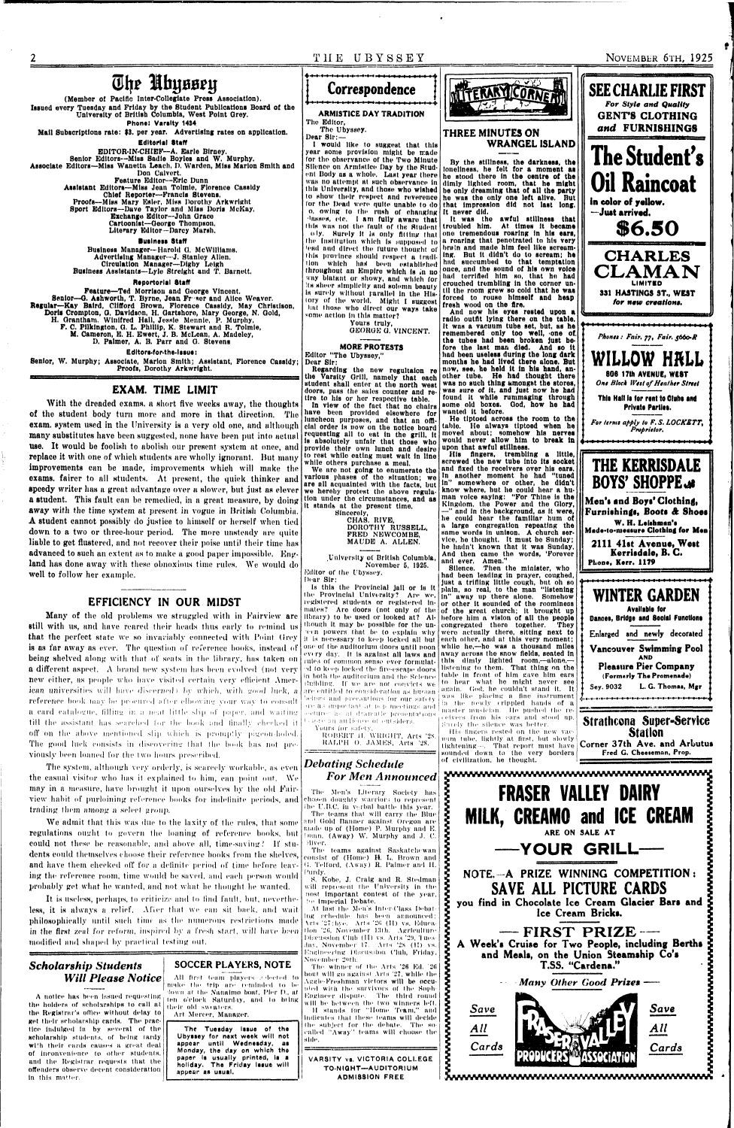**T II E UBYSSE Y NOVEMBER 6TH, 1925** 

# The Uhyssey

**(Member of Pacific Inter-Colleglate Press Association). Issued every Tuesday and Friday by the Student Publications Board of the University of British Columbia, West Point Grey. Phone: Varsity 1434** 

**Mall Subscriptions rate: \$3. per year. Advertising rates on application.** 

**Editorial Staff** 

**EDITOR-IN-CHIEF—A. Earle Birney.** 

Senior Editors---Miss Sadie Boyles and W. Murphy. **Associate Editors—Miss Wanetta Leach, D, Warden, Miss Marion Smith and Don Calvert. Feature Editor--Eric Dunn Assistant Editors—MUs Jean Tolmie, Florence Cassidy Chief Reporter—Francis Stevens. Proofs—MIBH Mary Esler, MIHH Dorothy Arkwrlght Sport Editors—Dave Taylor nnd Miss Doris McKay. Exchange Editor—John Orace Cartoonist—Oeorge Thompson.** 

#### **Literary Editor—Darcy Marsh.**

#### **Business Staff**

**Butlness Manager—Harold Q. McWlIllanis, Advertising Manager—J. Stanley Allen. Circulation Manager—Dlghy Leigh Business Assistants—Lyle Strelght and T. Barnett.** 

#### **Rtportorlal Staff**

**Feature—Ted Morrison and George Vincent.**  Senior-G. Ashworth, T. Byrne, Jean Freser and Alice Weaver. Regular--Kay Baird, Clifford Brown, Florence Cassidy, May Christison, **Doris Crompton, G. Davidson, H. Gartshore, Mary George, N. Gold, H. Grantham, Winifred Hall, Jessie Mennle, P. Murphy, F. C. Pilklngton, G. L. Phillip, K. Stewart and R. Tolmie, M. Cameron, E. H. Ewert, J. B. McLean, A. Madeley, D. Palmer, A. B. Parr and G. Stevens** 

Editors-for-the-lssue:

**Senior, W. Murphy; Associate, Marion Smith; Assistant, Florence Cassidy; Proofs, Dorothy Arkwrlght.** 

#### **EXAM. TIME LIMIT**

**With the dreaded exnras. n short five weeks away, the thoughts of tho student body turn more and more in that direction. Tho**  exam, system used in the University is a very old one, and although **many substitutes have been suggested, none have been put into actual use. It would be foolish to abolish our present system at once, and replace it with one of which students are wholly ignorant. But many improvements can be made, improvements which will make the exams, fairer to all students. At present, tho quick thinker and speedy writer has a great advantage over a slower, but just as clever a student. This fault can be remedied, in a great measure, by doing away with the time system at present in vogue in British Columbia. A student cannot possibly do justice to himself or herself when tied down to a two or three-hour period. The more unsteady are quite liable to got flustered, and not recover their poise until their time has advanced to such an extent as to make a good paper impossible. England has done away with these obnoxious time rules. We would do well to follow her example.** 

It is useless, perhaps, to criticize and to find fault, but, neverthe**less, it is always a relief. Afier that we can sit back, and wait philosophically until such time as the numerous restrictions made**  in the first zeal for reform, inspired by a fresh start, will have been **modified and shaped by practical testing out.** 

the holders of scholarships to call at the Registrar's office without delay to get their scholarship cards. The practice Indulged In hy several of the scholarship students, of being tardy with their cards causes a great deal of inconvenience to other students, and the Registrar requests that the offenders observe decent consideration In this matter,

#### **EFFICIENCY IN OUR MIDST**

**Many of the old problems we struggled with in Fairview are still with us, and have reared their heads thus early to remind us**  that the perfect state we so invariably connected with Point Grey is as far away as ever. The question of reference books, instead of **being shelved along with that of seats in the library, has taken on a different aspect.** A brand new system has been evolved (not very new either, as people who have visited certain very efficient Amer*ican universities will have discerned) by which, with good luck, a* reference book may be procured after elbowing your way to consult a card catalogue, filling in a neat little slip of paper, and waiting till the assistant has searched for the book and finally cheeked it off on the above mentioned slip which is promptly pigeon-holed. The good luck consists in discovering that the book has not pre**viously been loaned for the I wo hours prescribed.** 

**The system, although very orderly, is scarcely workable, as even the casual visitor who has it explained to him, can point out. We mny in a measure, have brought it upon ourselves by the old Fairview habit of purloining reference books for indefinite periods, and trading them among a select group.** 

Is this the Provincial jail or la It the Provincial University? Are we, registered students or registered Inmates? Are doors (not only of the library) to be used or looked at? Although It may be possible for the un reen powers that be to explain why it Is necessary to keep locked all but one of the auditorium doors until noon rules of common sense ever formulnt- <sup>od</sup> to keep locked the fire-escape doors in both the auditorium and the Science I'uilding. If we are not convicts we. and precautions for our safely ere as important at p. p meetings and. beetures as at dramatic presentations. itore an audience of outsiders. Yours for safety, ROBERT IL WRIGHT, Arts '2S. RALPH O. JAMES, Arts '28.



**We admit that this was due to the laxity of the rules, that some regulations ought to govern the loaning of reference books, but could not these be reasonable, and above all, time-saving'.' If students could themselves choose their reference books from the shelves, and have them cheeked off for a definite period of time before leaving the reference room, time would be saved, and each person would probably get what he wanted, and not what lie thought he wanted.** 

The t<mark>eams agai</mark>nst Saskatchewan consist of (Home) H. L. Brown and G. Telford, (Away) R. Palmer and H. Purdy.

At last the Men's Inter-Class Debatlug rchedule litis been announced: \rls '27: bye. Arts '211 (II) vs. Kducatlon '26, November 13th. Agriculture Discussion Club (II) vs. Arts '29, Tuesday, November IT. Arts '2s (I!) vs. Ktiglneei'ing Discussion Club, Friday, November 2'ttli.

### *Scholarship Students Will Please Notice*

The winner of the Arts '26 Ed. '26 bout will go against Arts '27, while the Aggh-Freshnian victors will be occupied with the survivors of the Soph Engineer dispute. The third round will be between the two winners left. II stands for "Home Team," and Indicates that these teams will decide Ihe subject for the dehate. The so culled "Away'' teams will choose the side.

was no attempt at such observance in dimly lighted room, that he might this University, and those who wished be only dreaming that of all the party to show their respect and reverence he was the only one left alive. But **lor the Dead were quite unable to do that Impression did not last Ions, By the stillness, the darkness, the loneliness, he felt for a moment as he stood there in the centre ot the be only dreaming that of all the party** 

### **SOCCER PLAYERS, NOTE**

A notice has been issued requesting down at the Nanaimo boat, Pier D., at A heing All first team players ;i dected to make the trip are reminded to be<br>'lown at the Nanaimo boat, Pier D., at ten o'clock Hatunliy, and In bring their old sweaters.

Art Mercer, Manager.

Tht Tuesday **Issue** of the Uby<mark>sse</mark>y for naxt week will not appear until **Wednesday,**  as Monday, the day on which the paper is usually printed, is a holiday. The Friday **Issue**  will appear as usual.



**ARMISTICE DAY TRADITION** 

**Tho Editor, The Ubyssey.** 

**Dear Sir:—** 

**I would like to suggest that this year some provision might be made for the observance of the Two Minute Silence on Armistice Day by the Student Body as a whole. Last year there was no attempt nt such observance in o, owing to the rush or changing It never did. hisses, etc. I am fully awaro that this was not the fault of the Student Ihe Institution which Is supposed to •ead nnd direct the future thought of**  this province should respect a tradi-<br>**Hon** which has been established **tion which him been established its sheer simplicity and solemn beauty Is surely without parallel In the History of the world. Might I suggest hat those who direct our ways take some action In this matter?** 

every day. It is against all laws and <sup>|</sup> away across the snow fields, seated in are entitled to consideration as hirman again. God, he couldn't stand it. It **Silence. Then the minister, who had been leading in prayer, coughed, just a trifling little cough, but oh so plain, so real, to the man "listening in" away up there alone. Somehow or other it sounded of the roominess of the great church; it brought up hefore him a vision of all the people**  congregated there together. **wore actually there, sitting next to each oilier, and at this very moment; whllo he,—ho was a thousand miles this dimly lighted room,—alone,**  listening to them. That thing on the table in front of him gave him ears to hear what he might never see was like placing a fine instrument in the newly crippled hands of a master musician. He pushed the re- • elvers front his ears and stood up. Saiely the silence was better. His lingers rested on the new vacuum tube, lightly at first, but slowly tightening—. That report must have sounded down to the very borders of civilization, he thought.

**Yours truly, GEORGE 0. VINCENT.** 

#### **MORE PROTESTS**

**Editor "The Ubyssey," Dear Sir:** 

**Regarding the new regultalon re the Varsity Grill, namely that each student shall enter at the north west doors, pass the sales counter and retire to his or her respective table.** 

**In view of the fact that no chairs have been provided elsewhere for luncheon purposes, and that an official order Is now on the notice board requesting all to eat In the grill. It Is absolutely unfair that those who provide their own lunch and desire to rest while eating must wait In line** 

**while others purchase a meal.** 

**We aro not going to enumerate the various phases of tho situation; we are ell acquainted wtth the facts, but we hereby protest the above regulation under the circumstances, and as It stands at the present time.** 

> **Sincerely, CHAS. RIVE, DOROTHY RUSSELL, FRED NEWCOMBE, MAUDE A. ALLEN.**

**.University of British Columbia, Novembor 5, 1925.**  Editor of the Ubyssey.

Dear Sir:

**oly. Surely It is only filling that ono tremendous roaring In his ears, throughout nn Empire which Is m no once, und the sound of his own voice way blatant or showy, and which for had terrified him so, that ho had It was the awful stillness that troubled him. At times It became a roaring that penotrated to his very**  brain and made him feel like scream-**Ing. But It didn't do to scream; he hud succumbed to that temptation crouched trembling In the cornor until the room grew so cold that he was forced to rouso himself and heap fresh wood on the fire,** 

# *Debating Schedule For Men Announced*

The Men's Literary Society has chosen doughty warriors to represent ihe U.I1.C. In verbal battle this year. The teams that will carry the Blue and Gold Banner against Ore<mark>gon a</mark>re made up of (Home) P. Murphy and K. Inini, (Away) W. Murphy and J. C. Hiver.

**WWWWW** 

**WWW** 

wwwwwwwww

S. Kobe, J. Craig and R. Stedman will represent the University in the nost important contest of the year. !'e Imperial Debate.

VARSITY vs. VICTORIA COLLEGE TO-NIGHT—AUDITORIUM ADMISSION FREE

#### **THREE MINUTES ON WRANGEL ISLAND**

**And now his eyes rested upon a radio outfit lying there on the table. It was a vacuum tube set, but, as he remembered only too well, one ot. the tubes had been broken Just before the last man died. And so It had been useless during the long dark months he had lived there alone. But now, see, he held It In his hand, another tube. He had thought there**  was no such thing *umongst* the stores. was sure of it, and just now he had **found It while rummaging through some old boxes. God, how he had wanted It before.** 

**He tiptoed across the room to the table. He always tiptoed when he moved nbout; somehow his nerves would never allow him to break In upon that awful stillness.** 

**His Angers, trembling a little, screwed the new tube Into Its socket and fixed the receivers over his ears. In another moment he had "tuned In" somewhere or other, he didn't know where, hut he could hear a human voice saying: "For Thine is the Kingdom, the Power and the Glory, —" and In tho background, as it were, he could hear the familiar hum of a large congregation repeating the same words In unison. A church service, he thought. It must bo Sunday; he hadn't known that It was Sunday. And then came tho words, 'Forever and ever. Amen."** 





Fred G. Cheetemon, Prop.